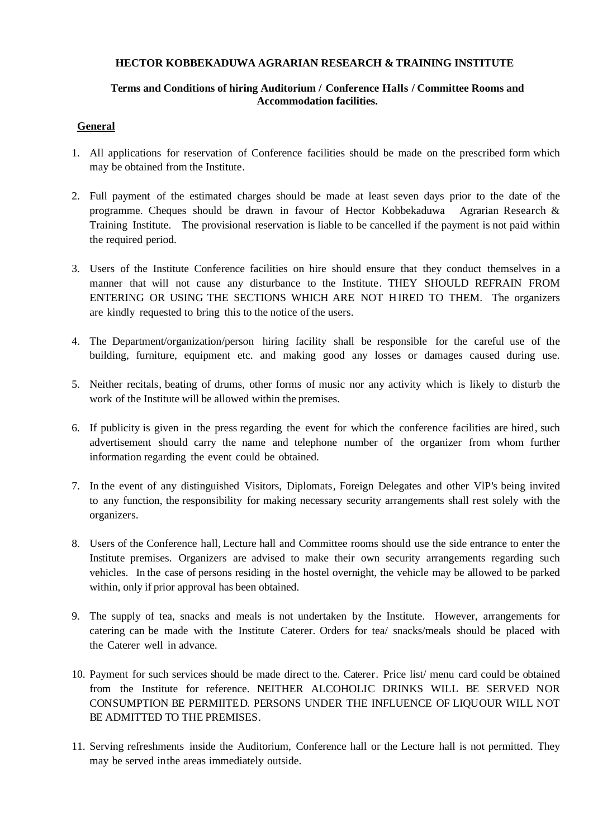## **HECTOR KOBBEKADUWA AGRARIAN RESEARCH & TRAINING INSTITUTE**

## **Terms and Conditions of hiring Auditorium / Conference Halls / Committee Rooms and Accommodation facilities.**

## **General**

- 1. All applications for reservation of Conference facilities should be made on the prescribed form which may be obtained from the Institute.
- 2. Full payment of the estimated charges should be made at least seven days prior to the date of the programme. Cheques should be drawn in favour of Hector Kobbekaduwa Agrarian Research & Training Institute. The provisional reservation is liable to be cancelled if the payment is not paid within the required period.
- 3. Users of the Institute Conference facilities on hire should ensure that they conduct themselves in a manner that will not cause any disturbance to the Institute. THEY SHOULD REFRAIN FROM ENTERING OR USING THE SECTIONS WHICH ARE NOT HIRED TO THEM. The organizers are kindly requested to bring this to the notice of the users.
- 4. The Department/organization/person hiring facility shall be responsible for the careful use of the building, furniture, equipment etc. and making good any losses or damages caused during use.
- 5. Neither recitals, beating of drums, other forms of music nor any activity which is likely to disturb the work of the Institute will be allowed within the premises.
- 6. If publicity is given in the press regarding the event for which the conference facilities are hired, such advertisement should carry the name and telephone number of the organizer from whom further information regarding the event could be obtained.
- 7. In the event of any distinguished Visitors, Diplomats, Foreign Delegates and other VlP's being invited to any function, the responsibility for making necessary security arrangements shall rest solely with the organizers.
- 8. Users of the Conference hall, Lecture hall and Committee rooms should use the side entrance to enter the Institute premises. Organizers are advised to make their own security arrangements regarding such vehicles. In the case of persons residing in the hostel overnight, the vehicle may be allowed to be parked within, only if prior approval has been obtained.
- 9. The supply of tea, snacks and meals is not undertaken by the Institute. However, arrangements for catering can be made with the Institute Caterer. Orders for tea/ snacks/meals should be placed with the Caterer well in advance.
- 10. Payment for such services should be made direct to the. Caterer. Price list/ menu card could be obtained from the Institute for reference. NEITHER ALCOHOLIC DRINKS WILL BE SERVED NOR CONSUMPTION BE PERMIITED. PERSONS UNDER THE INFLUENCE OF LIQUOUR WILL NOT BE ADMITTED TO THE PREMISES.
- 11. Serving refreshments inside the Auditorium, Conference hall or the Lecture hall is not permitted. They may be served inthe areas immediately outside.